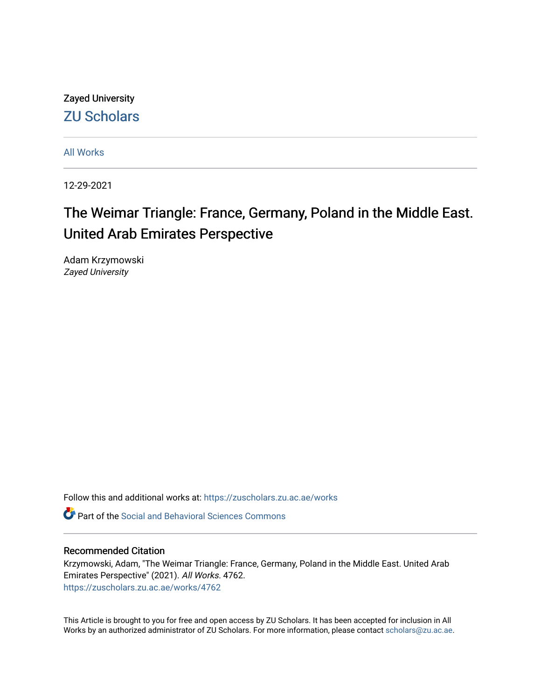Zayed University [ZU Scholars](https://zuscholars.zu.ac.ae/) 

[All Works](https://zuscholars.zu.ac.ae/works)

12-29-2021

# The Weimar Triangle: France, Germany, Poland in the Middle East. United Arab Emirates Perspective

Adam Krzymowski Zayed University

Follow this and additional works at: [https://zuscholars.zu.ac.ae/works](https://zuscholars.zu.ac.ae/works?utm_source=zuscholars.zu.ac.ae%2Fworks%2F4762&utm_medium=PDF&utm_campaign=PDFCoverPages)

Part of the [Social and Behavioral Sciences Commons](http://network.bepress.com/hgg/discipline/316?utm_source=zuscholars.zu.ac.ae%2Fworks%2F4762&utm_medium=PDF&utm_campaign=PDFCoverPages) 

# Recommended Citation

Krzymowski, Adam, "The Weimar Triangle: France, Germany, Poland in the Middle East. United Arab Emirates Perspective" (2021). All Works. 4762. [https://zuscholars.zu.ac.ae/works/4762](https://zuscholars.zu.ac.ae/works/4762?utm_source=zuscholars.zu.ac.ae%2Fworks%2F4762&utm_medium=PDF&utm_campaign=PDFCoverPages)

This Article is brought to you for free and open access by ZU Scholars. It has been accepted for inclusion in All Works by an authorized administrator of ZU Scholars. For more information, please contact [scholars@zu.ac.ae](mailto:scholars@zu.ac.ae).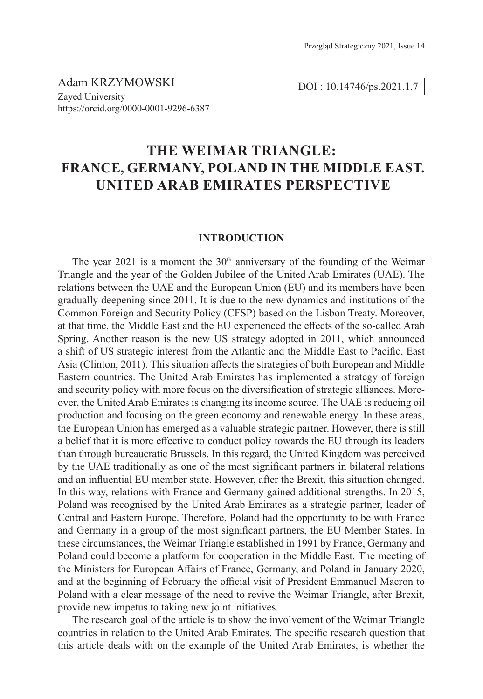Adam KRZYMOWSKI Zayed University https://orcid.org/0000-0001-9296-6387

**THE WEIMAR TRIANGLE: FRANCE, GERMANY, POLAND IN THE MIDDLE EAST. UNITED ARAB EMIRATES PERSPECTIVE**

#### **INTRODUCTION**

The year 2021 is a moment the  $30<sup>th</sup>$  anniversary of the founding of the Weimar Triangle and the year of the Golden Jubilee of the United Arab Emirates (UAE). The relations between the UAE and the European Union (EU) and its members have been gradually deepening since 2011. It is due to the new dynamics and institutions of the Common Foreign and Security Policy (CFSP) based on the Lisbon Treaty. Moreover, at that time, the Middle East and the EU experienced the effects of the so-called Arab Spring. Another reason is the new US strategy adopted in 2011, which announced a shift of US strategic interest from the Atlantic and the Middle East to Pacific, East Asia (Clinton, 2011). This situation affects the strategies of both European and Middle Eastern countries. The United Arab Emirates has implemented a strategy of foreign and security policy with more focus on the diversification of strategic alliances. Moreover, the United Arab Emirates is changing its income source. The UAE is reducing oil production and focusing on the green economy and renewable energy. In these areas, the European Union has emerged as a valuable strategic partner. However, there is still a belief that it is more effective to conduct policy towards the EU through its leaders than through bureaucratic Brussels. In this regard, the United Kingdom was perceived by the UAE traditionally as one of the most significant partners in bilateral relations and an influential EU member state. However, after the Brexit, this situation changed. In this way, relations with France and Germany gained additional strengths. In 2015, Poland was recognised by the United Arab Emirates as a strategic partner, leader of Central and Eastern Europe. Therefore, Poland had the opportunity to be with France and Germany in a group of the most significant partners, the EU Member States. In these circumstances, the Weimar Triangle established in 1991 by France, Germany and Poland could become a platform for cooperation in the Middle East. The meeting of the Ministers for European Affairs of France, Germany, and Poland in January 2020, and at the beginning of February the official visit of President Emmanuel Macron to Poland with a clear message of the need to revive the Weimar Triangle, after Brexit, provide new impetus to taking new joint initiatives.

The research goal of the article is to show the involvement of the Weimar Triangle countries in relation to the United Arab Emirates. The specific research question that this article deals with on the example of the United Arab Emirates, is whether the

DOI : 10.14746/ps.2021.1.7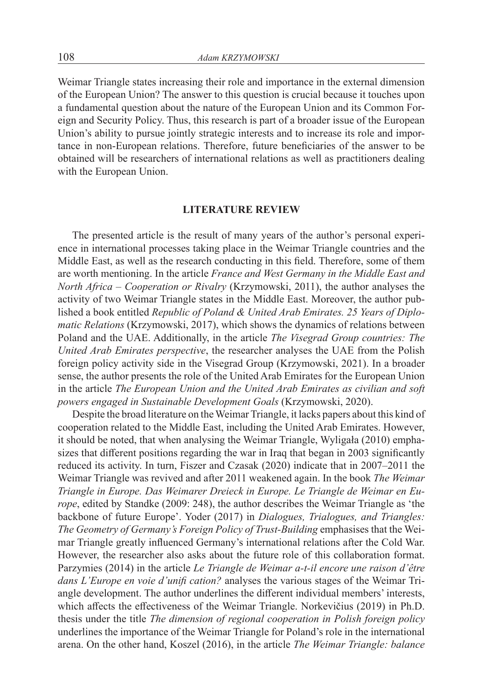Weimar Triangle states increasing their role and importance in the external dimension of the European Union? The answer to this question is crucial because it touches upon a fundamental question about the nature of the European Union and its Common Foreign and Security Policy. Thus, this research is part of a broader issue of the European Union's ability to pursue jointly strategic interests and to increase its role and importance in non-European relations. Therefore, future beneficiaries of the answer to be obtained will be researchers of international relations as well as practitioners dealing with the European Union.

#### **LITERATURE REVIEW**

The presented article is the result of many years of the author's personal experience in international processes taking place in the Weimar Triangle countries and the Middle East, as well as the research conducting in this field. Therefore, some of them are worth mentioning. In the article *France and West Germany in the Middle East and North Africa – Cooperation or Rivalry* (Krzymowski, 2011), the author analyses the activity of two Weimar Triangle states in the Middle East. Moreover, the author published a book entitled *Republic of Poland & United Arab Emirates. 25 Years of Diplomatic Relations* (Krzymowski, 2017), which shows the dynamics of relations between Poland and the UAE. Additionally, in the article *The Visegrad Group countries: The United Arab Emirates perspective*, the researcher analyses the UAE from the Polish foreign policy activity side in the Visegrad Group (Krzymowski, 2021). In a broader sense, the author presents the role of the United Arab Emirates for the European Union in the article *The European Union and the United Arab Emirates as civilian and soft powers engaged in Sustainable Development Goals* (Krzymowski, 2020).

Despite the broad literature on the Weimar Triangle, it lacks papers about this kind of cooperation related to the Middle East, including the United Arab Emirates. However, it should be noted, that when analysing the Weimar Triangle, Wyligała (2010) emphasizes that different positions regarding the war in Iraq that began in 2003 significantly reduced its activity. In turn, Fiszer and Czasak (2020) indicate that in 2007–2011 the Weimar Triangle was revived and after 2011 weakened again. In the book *The Weimar Triangle in Europe. Das Weimarer Dreieck in Europe. Le Triangle de Weimar en Europe*, edited by Standke (2009: 248), the author describes the Weimar Triangle as 'the backbone of future Europe'. Yoder (2017) in *Dialogues, Trialogues, and Triangles: The Geometry of Germany's Foreign Policy of Trust-Building* emphasises that the Weimar Triangle greatly influenced Germany's international relations after the Cold War. However, the researcher also asks about the future role of this collaboration format. Parzymies (2014) in the article *Le Triangle de Weimar a-t-il encore une raison d'être dans L'Europe en voie d'unifi cation?* analyses the various stages of the Weimar Triangle development. The author underlines the different individual members' interests, which affects the effectiveness of the Weimar Triangle. Norkevičius (2019) in Ph.D. thesis under the title *The dimension of regional cooperation in Polish foreign policy* underlines the importance of the Weimar Triangle for Poland's role in the international arena. On the other hand, Koszel (2016), in the article *The Weimar Triangle: balance*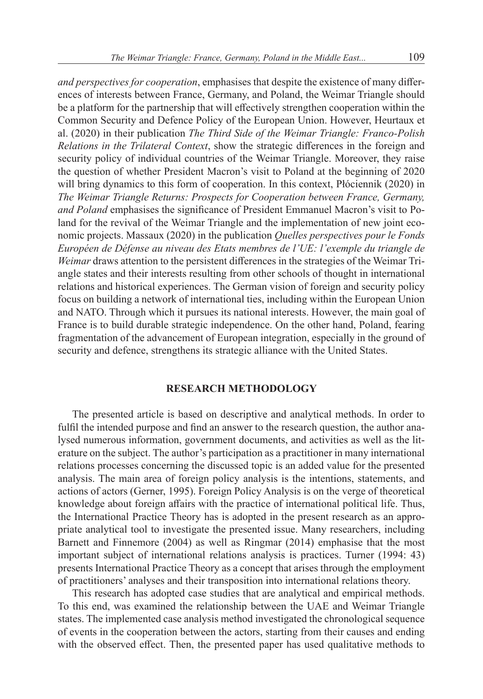*and perspectives for cooperation*, emphasises that despite the existence of many differences of interests between France, Germany, and Poland, the Weimar Triangle should be a platform for the partnership that will effectively strengthen cooperation within the Common Security and Defence Policy of the European Union. However, Heurtaux et al. (2020) in their publication *The Third Side of the Weimar Triangle: Franco-Polish Relations in the Trilateral Context*, show the strategic differences in the foreign and security policy of individual countries of the Weimar Triangle. Moreover, they raise the question of whether President Macron's visit to Poland at the beginning of 2020 will bring dynamics to this form of cooperation. In this context, Płóciennik (2020) in *The Weimar Triangle Returns: Prospects for Cooperation between France, Germany, and Poland* emphasises the significance of President Emmanuel Macron's visit to Poland for the revival of the Weimar Triangle and the implementation of new joint economic projects. Massaux (2020) in the publication *Quelles perspectives pour le Fonds Européen de Défense au niveau des Etats membres de l'UE: l'exemple du triangle de Weimar* draws attention to the persistent differences in the strategies of the Weimar Triangle states and their interests resulting from other schools of thought in international relations and historical experiences. The German vision of foreign and security policy focus on building a network of international ties, including within the European Union and NATO. Through which it pursues its national interests. However, the main goal of France is to build durable strategic independence. On the other hand, Poland, fearing fragmentation of the advancement of European integration, especially in the ground of security and defence, strengthens its strategic alliance with the United States.

### **RESEARCH METHODOLOGY**

The presented article is based on descriptive and analytical methods. In order to fulfil the intended purpose and find an answer to the research question, the author analysed numerous information, government documents, and activities as well as the literature on the subject. The author's participation as a practitioner in many international relations processes concerning the discussed topic is an added value for the presented analysis. The main area of foreign policy analysis is the intentions, statements, and actions of actors (Gerner, 1995). Foreign Policy Analysis is on the verge of theoretical knowledge about foreign affairs with the practice of international political life. Thus, the International Practice Theory has is adopted in the present research as an appropriate analytical tool to investigate the presented issue. Many researchers, including Barnett and Finnemore (2004) as well as Ringmar (2014) emphasise that the most important subject of international relations analysis is practices. Turner (1994: 43) presents International Practice Theory as a concept that arises through the employment of practitioners' analyses and their transposition into international relations theory.

This research has adopted case studies that are analytical and empirical methods. To this end, was examined the relationship between the UAE and Weimar Triangle states. The implemented case analysis method investigated the chronological sequence of events in the cooperation between the actors, starting from their causes and ending with the observed effect. Then, the presented paper has used qualitative methods to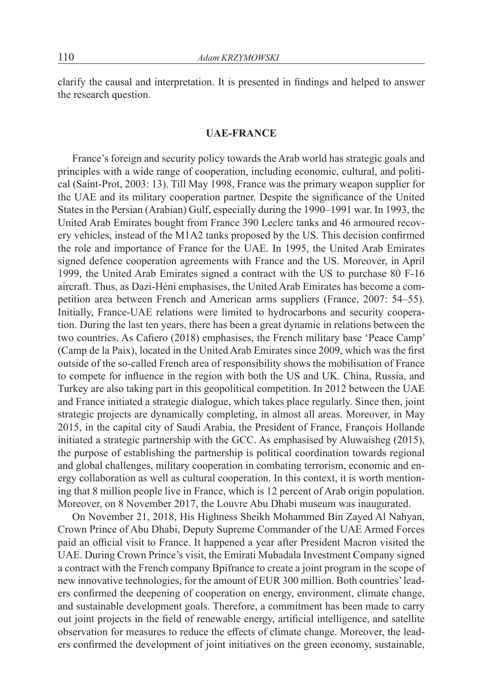clarify the causal and interpretation. It is presented in findings and helped to answer the research question.

#### **UAE-FRANCE**

France's foreign and security policy towards the Arab world has strategic goals and principles with a wide range of cooperation, including economic, cultural, and political (Saint-Prot, 2003: 13). Till May 1998, France was the primary weapon supplier for the UAE and its military cooperation partner. Despite the significance of the United States in the Persian (Arabian) Gulf, especially during the 1990–1991 war. In 1993, the United Arab Emirates bought from France 390 Leclerc tanks and 46 armoured recovery vehicles, instead of the M1A2 tanks proposed by the US. This decision confirmed the role and importance of France for the UAE. In 1995, the United Arab Emirates signed defence cooperation agreements with France and the US. Moreover, in April 1999, the United Arab Emirates signed a contract with the US to purchase 80 F-16 aircraft. Thus, as Dazi-Héni emphasises, the United Arab Emirates has become a competition area between French and American arms suppliers (France, 2007: 54–55). Initially, France-UAE relations were limited to hydrocarbons and security cooperation. During the last ten years, there has been a great dynamic in relations between the two countries. As Cafiero (2018) emphasises, the French military base 'Peace Camp' (Camp de la Paix), located in the United Arab Emirates since 2009, which was the first outside of the so-called French area of responsibility shows the mobilisation of France to compete for influence in the region with both the US and UK. China, Russia, and Turkey are also taking part in this geopolitical competition. In 2012 between the UAE and France initiated a strategic dialogue, which takes place regularly. Since then, joint strategic projects are dynamically completing, in almost all areas. Moreover, in May 2015, in the capital city of Saudi Arabia, the President of France, François Hollande initiated a strategic partnership with the GCC. As emphasised by Aluwaisheg (2015), the purpose of establishing the partnership is political coordination towards regional and global challenges, military cooperation in combating terrorism, economic and energy collaboration as well as cultural cooperation. In this context, it is worth mentioning that 8 million people live in France, which is 12 percent of Arab origin population. Moreover, on 8 November 2017, the Louvre Abu Dhabi museum was inaugurated.

On November 21, 2018, His Highness Sheikh Mohammed Bin Zayed Al Nahyan, Crown Prince of Abu Dhabi, Deputy Supreme Commander of the UAE Armed Forces paid an official visit to France. It happened a year after President Macron visited the UAE. During Crown Prince's visit, the Emirati Mubadala Investment Company signed a contract with the French company Bpifrance to create a joint program in the scope of new innovative technologies, for the amount of EUR 300 million. Both countries' leaders confirmed the deepening of cooperation on energy, environment, climate change, and sustainable development goals. Therefore, a commitment has been made to carry out joint projects in the field of renewable energy, artificial intelligence, and satellite observation for measures to reduce the effects of climate change. Moreover, the leaders confirmed the development of joint initiatives on the green economy, sustainable,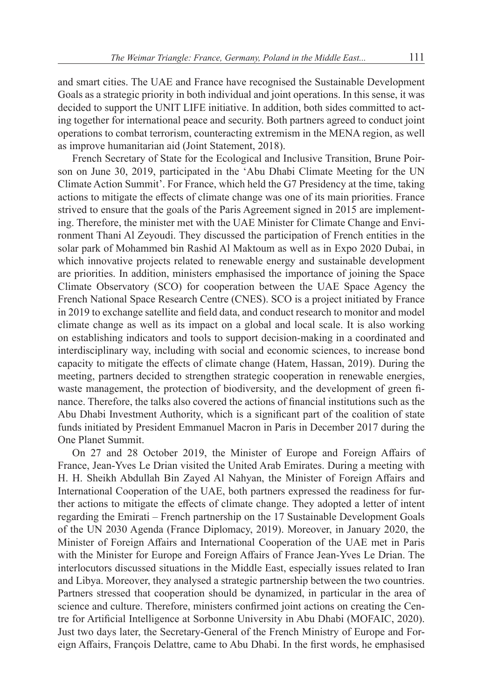and smart cities. The UAE and France have recognised the Sustainable Development Goals as a strategic priority in both individual and joint operations. In this sense, it was decided to support the UNIT LIFE initiative. In addition, both sides committed to acting together for international peace and security. Both partners agreed to conduct joint operations to combat terrorism, counteracting extremism in the MENA region, as well as improve humanitarian aid (Joint Statement, 2018).

French Secretary of State for the Ecological and Inclusive Transition, Brune Poirson on June 30, 2019, participated in the 'Abu Dhabi Climate Meeting for the UN Climate Action Summit'. For France, which held the G7 Presidency at the time, taking actions to mitigate the effects of climate change was one of its main priorities. France strived to ensure that the goals of the Paris Agreement signed in 2015 are implementing. Therefore, the minister met with the UAE Minister for Climate Change and Environment Thani Al Zeyoudi. They discussed the participation of French entities in the solar park of Mohammed bin Rashid Al Maktoum as well as in Expo 2020 Dubai, in which innovative projects related to renewable energy and sustainable development are priorities. In addition, ministers emphasised the importance of joining the Space Climate Observatory (SCO) for cooperation between the UAE Space Agency the French National Space Research Centre (CNES). SCO is a project initiated by France in 2019 to exchange satellite and field data, and conduct research to monitor and model climate change as well as its impact on a global and local scale. It is also working on establishing indicators and tools to support decision-making in a coordinated and interdisciplinary way, including with social and economic sciences, to increase bond capacity to mitigate the effects of climate change (Hatem, Hassan, 2019). During the meeting, partners decided to strengthen strategic cooperation in renewable energies, waste management, the protection of biodiversity, and the development of green finance. Therefore, the talks also covered the actions of financial institutions such as the Abu Dhabi Investment Authority, which is a significant part of the coalition of state funds initiated by President Emmanuel Macron in Paris in December 2017 during the One Planet Summit.

On 27 and 28 October 2019, the Minister of Europe and Foreign Affairs of France, Jean-Yves Le Drian visited the United Arab Emirates. During a meeting with H. H. Sheikh Abdullah Bin Zayed Al Nahyan, the Minister of Foreign Affairs and International Cooperation of the UAE, both partners expressed the readiness for further actions to mitigate the effects of climate change. They adopted a letter of intent regarding the Emirati – French partnership on the 17 Sustainable Development Goals of the UN 2030 Agenda (France Diplomacy, 2019). Moreover, in January 2020, the Minister of Foreign Affairs and International Cooperation of the UAE met in Paris with the Minister for Europe and Foreign Affairs of France Jean-Yves Le Drian. The interlocutors discussed situations in the Middle East, especially issues related to Iran and Libya. Moreover, they analysed a strategic partnership between the two countries. Partners stressed that cooperation should be dynamized, in particular in the area of science and culture. Therefore, ministers confirmed joint actions on creating the Centre for Artificial Intelligence at Sorbonne University in Abu Dhabi (MOFAIC, 2020). Just two days later, the Secretary-General of the French Ministry of Europe and Foreign Affairs, François Delattre, came to Abu Dhabi. In the first words, he emphasised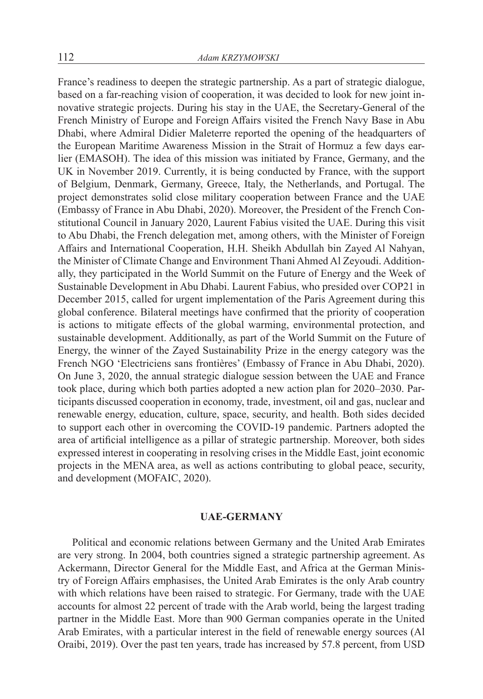France's readiness to deepen the strategic partnership. As a part of strategic dialogue, based on a far-reaching vision of cooperation, it was decided to look for new joint innovative strategic projects. During his stay in the UAE, the Secretary-General of the French Ministry of Europe and Foreign Affairs visited the French Navy Base in Abu Dhabi, where Admiral Didier Maleterre reported the opening of the headquarters of the European Maritime Awareness Mission in the Strait of Hormuz a few days earlier (EMASOH). The idea of this mission was initiated by France, Germany, and the UK in November 2019. Currently, it is being conducted by France, with the support of Belgium, Denmark, Germany, Greece, Italy, the Netherlands, and Portugal. The project demonstrates solid close military cooperation between France and the UAE (Embassy of France in Abu Dhabi, 2020). Moreover, the President of the French Constitutional Council in January 2020, Laurent Fabius visited the UAE. During this visit to Abu Dhabi, the French delegation met, among others, with the Minister of Foreign Affairs and International Cooperation, H.H. Sheikh Abdullah bin Zayed Al Nahyan, the Minister of Climate Change and Environment Thani Ahmed Al Zeyoudi. Additionally, they participated in the World Summit on the Future of Energy and the Week of Sustainable Development in Abu Dhabi. Laurent Fabius, who presided over COP21 in December 2015, called for urgent implementation of the Paris Agreement during this global conference. Bilateral meetings have confirmed that the priority of cooperation is actions to mitigate effects of the global warming, environmental protection, and sustainable development. Additionally, as part of the World Summit on the Future of Energy, the winner of the Zayed Sustainability Prize in the energy category was the French NGO 'Electriciens sans frontières' (Embassy of France in Abu Dhabi, 2020). On June 3, 2020, the annual strategic dialogue session between the UAE and France took place, during which both parties adopted a new action plan for 2020–2030. Participants discussed cooperation in economy, trade, investment, oil and gas, nuclear and renewable energy, education, culture, space, security, and health. Both sides decided to support each other in overcoming the COVID-19 pandemic. Partners adopted the area of artificial intelligence as a pillar of strategic partnership. Moreover, both sides expressed interest in cooperating in resolving crises in the Middle East, joint economic projects in the MENA area, as well as actions contributing to global peace, security, and development (MOFAIC, 2020).

#### **UAE-GERMANY**

Political and economic relations between Germany and the United Arab Emirates are very strong. In 2004, both countries signed a strategic partnership agreement. As Ackermann, Director General for the Middle East, and Africa at the German Ministry of Foreign Affairs emphasises, the United Arab Emirates is the only Arab country with which relations have been raised to strategic. For Germany, trade with the UAE accounts for almost 22 percent of trade with the Arab world, being the largest trading partner in the Middle East. More than 900 German companies operate in the United Arab Emirates, with a particular interest in the field of renewable energy sources (Al Oraibi, 2019). Over the past ten years, trade has increased by 57.8 percent, from USD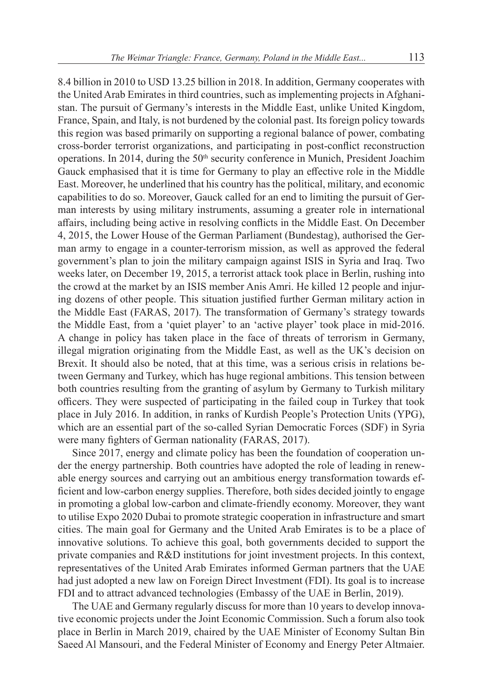8.4 billion in 2010 to USD 13.25 billion in 2018. In addition, Germany cooperates with the United Arab Emirates in third countries, such as implementing projects in Afghanistan. The pursuit of Germany's interests in the Middle East, unlike United Kingdom, France, Spain, and Italy, is not burdened by the colonial past. Its foreign policy towards this region was based primarily on supporting a regional balance of power, combating cross-border terrorist organizations, and participating in post-conflict reconstruction operations. In 2014, during the 50<sup>th</sup> security conference in Munich, President Joachim Gauck emphasised that it is time for Germany to play an effective role in the Middle East. Moreover, he underlined that his country has the political, military, and economic capabilities to do so. Moreover, Gauck called for an end to limiting the pursuit of German interests by using military instruments, assuming a greater role in international affairs, including being active in resolving conflicts in the Middle East. On December 4, 2015, the Lower House of the German Parliament (Bundestag), authorised the German army to engage in a counter-terrorism mission, as well as approved the federal government's plan to join the military campaign against ISIS in Syria and Iraq. Two weeks later, on December 19, 2015, a terrorist attack took place in Berlin, rushing into the crowd at the market by an ISIS member Anis Amri. He killed 12 people and injuring dozens of other people. This situation justified further German military action in the Middle East (FARAS, 2017). The transformation of Germany's strategy towards the Middle East, from a 'quiet player' to an 'active player' took place in mid-2016. A change in policy has taken place in the face of threats of terrorism in Germany, illegal migration originating from the Middle East, as well as the UK's decision on Brexit. It should also be noted, that at this time, was a serious crisis in relations between Germany and Turkey, which has huge regional ambitions. This tension between both countries resulting from the granting of asylum by Germany to Turkish military officers. They were suspected of participating in the failed coup in Turkey that took place in July 2016. In addition, in ranks of Kurdish People's Protection Units (YPG), which are an essential part of the so-called Syrian Democratic Forces (SDF) in Syria

Since 2017, energy and climate policy has been the foundation of cooperation under the energy partnership. Both countries have adopted the role of leading in renewable energy sources and carrying out an ambitious energy transformation towards efficient and low-carbon energy supplies. Therefore, both sides decided jointly to engage in promoting a global low-carbon and climate-friendly economy. Moreover, they want to utilise Expo 2020 Dubai to promote strategic cooperation in infrastructure and smart cities. The main goal for Germany and the United Arab Emirates is to be a place of innovative solutions. To achieve this goal, both governments decided to support the private companies and R&D institutions for joint investment projects. In this context, representatives of the United Arab Emirates informed German partners that the UAE had just adopted a new law on Foreign Direct Investment (FDI). Its goal is to increase FDI and to attract advanced technologies (Embassy of the UAE in Berlin, 2019).

were many fighters of German nationality (FARAS, 2017).

The UAE and Germany regularly discuss for more than 10 years to develop innovative economic projects under the Joint Economic Commission. Such a forum also took place in Berlin in March 2019, chaired by the UAE Minister of Economy Sultan Bin Saeed Al Mansouri, and the Federal Minister of Economy and Energy Peter Altmaier.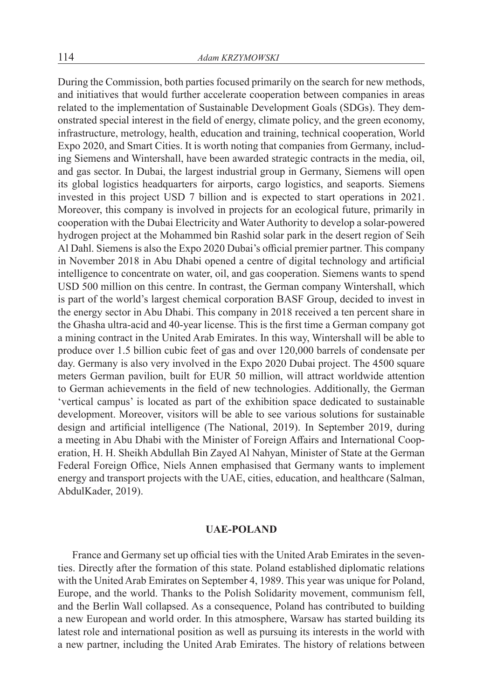During the Commission, both parties focused primarily on the search for new methods, and initiatives that would further accelerate cooperation between companies in areas related to the implementation of Sustainable Development Goals (SDGs). They demonstrated special interest in the field of energy, climate policy, and the green economy, infrastructure, metrology, health, education and training, technical cooperation, World Expo 2020, and Smart Cities. It is worth noting that companies from Germany, including Siemens and Wintershall, have been awarded strategic contracts in the media, oil, and gas sector. In Dubai, the largest industrial group in Germany, Siemens will open its global logistics headquarters for airports, cargo logistics, and seaports. Siemens invested in this project USD 7 billion and is expected to start operations in 2021. Moreover, this company is involved in projects for an ecological future, primarily in cooperation with the Dubai Electricity and Water Authority to develop a solar-powered hydrogen project at the Mohammed bin Rashid solar park in the desert region of Seih Al Dahl. Siemens is also the Expo 2020 Dubai's official premier partner. This company in November 2018 in Abu Dhabi opened a centre of digital technology and artificial intelligence to concentrate on water, oil, and gas cooperation. Siemens wants to spend USD 500 million on this centre. In contrast, the German company Wintershall, which is part of the world's largest chemical corporation BASF Group, decided to invest in the energy sector in Abu Dhabi. This company in 2018 received a ten percent share in the Ghasha ultra-acid and 40-year license. This is the first time a German company got a mining contract in the United Arab Emirates. In this way, Wintershall will be able to produce over 1.5 billion cubic feet of gas and over 120,000 barrels of condensate per day. Germany is also very involved in the Expo 2020 Dubai project. The 4500 square meters German pavilion, built for EUR 50 million, will attract worldwide attention to German achievements in the field of new technologies. Additionally, the German 'vertical campus' is located as part of the exhibition space dedicated to sustainable development. Moreover, visitors will be able to see various solutions for sustainable design and artificial intelligence (The National, 2019). In September 2019, during a meeting in Abu Dhabi with the Minister of Foreign Affairs and International Cooperation, H. H. Sheikh Abdullah Bin Zayed Al Nahyan, Minister of State at the German Federal Foreign Office, Niels Annen emphasised that Germany wants to implement energy and transport projects with the UAE, cities, education, and healthcare (Salman, AbdulKader, 2019).

#### **UAE-POLAND**

France and Germany set up official ties with the United Arab Emirates in the seventies. Directly after the formation of this state. Poland established diplomatic relations with the United Arab Emirates on September 4, 1989. This year was unique for Poland, Europe, and the world. Thanks to the Polish Solidarity movement, communism fell, and the Berlin Wall collapsed. As a consequence, Poland has contributed to building a new European and world order. In this atmosphere, Warsaw has started building its latest role and international position as well as pursuing its interests in the world with a new partner, including the United Arab Emirates. The history of relations between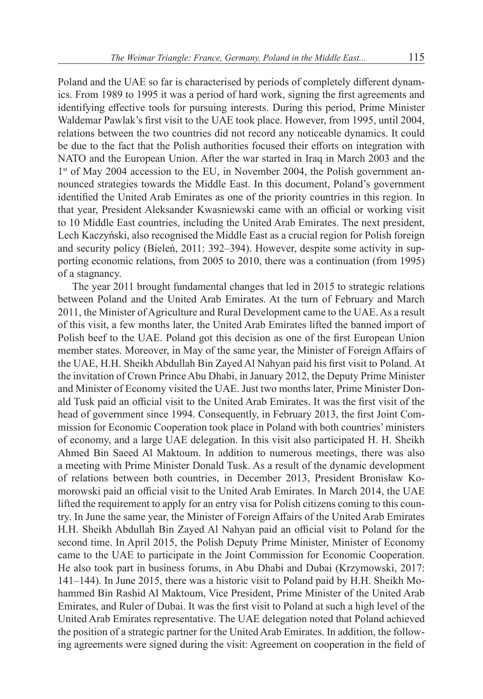Poland and the UAE so far is characterised by periods of completely different dynamics. From 1989 to 1995 it was a period of hard work, signing the first agreements and identifying effective tools for pursuing interests. During this period, Prime Minister Waldemar Pawlak's first visit to the UAE took place. However, from 1995, until 2004, relations between the two countries did not record any noticeable dynamics. It could be due to the fact that the Polish authorities focused their efforts on integration with NATO and the European Union. After the war started in Iraq in March 2003 and the 1<sup>st</sup> of May 2004 accession to the EU, in November 2004, the Polish government announced strategies towards the Middle East. In this document, Poland's government identified the United Arab Emirates as one of the priority countries in this region. In that year, President Aleksander Kwasniewski came with an official or working visit to 10 Middle East countries, including the United Arab Emirates. The next president, Lech Kaczyński, also recognised the Middle East as a crucial region for Polish foreign and security policy (Bieleń, 2011: 392–394). However, despite some activity in supporting economic relations, from 2005 to 2010, there was a continuation (from 1995) of a stagnancy.

The year 2011 brought fundamental changes that led in 2015 to strategic relations between Poland and the United Arab Emirates. At the turn of February and March 2011, the Minister of Agriculture and Rural Development came to the UAE. As a result of this visit, a few months later, the United Arab Emirates lifted the banned import of Polish beef to the UAE. Poland got this decision as one of the first European Union member states. Moreover, in May of the same year, the Minister of Foreign Affairs of the UAE, H.H. Sheikh Abdullah Bin Zayed Al Nahyan paid his first visit to Poland. At the invitation of Crown Prince Abu Dhabi, in January 2012, the Deputy Prime Minister and Minister of Economy visited the UAE. Just two months later, Prime Minister Donald Tusk paid an official visit to the United Arab Emirates. It was the first visit of the head of government since 1994. Consequently, in February 2013, the first Joint Commission for Economic Cooperation took place in Poland with both countries' ministers of economy, and a large UAE delegation. In this visit also participated H. H. Sheikh Ahmed Bin Saeed Al Maktoum. In addition to numerous meetings, there was also a meeting with Prime Minister Donald Tusk. As a result of the dynamic development of relations between both countries, in December 2013, President Bronisław Komorowski paid an official visit to the United Arab Emirates. In March 2014, the UAE lifted the requirement to apply for an entry visa for Polish citizens coming to this country. In June the same year, the Minister of Foreign Affairs of the United Arab Emirates H.H. Sheikh Abdullah Bin Zayed Al Nahyan paid an official visit to Poland for the second time. In April 2015, the Polish Deputy Prime Minister, Minister of Economy came to the UAE to participate in the Joint Commission for Economic Cooperation. He also took part in business forums, in Abu Dhabi and Dubai (Krzymowski, 2017: 141–144). In June 2015, there was a historic visit to Poland paid by H.H. Sheikh Mohammed Bin Rashid Al Maktoum, Vice President, Prime Minister of the United Arab Emirates, and Ruler of Dubai. It was the first visit to Poland at such a high level of the United Arab Emirates representative. The UAE delegation noted that Poland achieved the position of a strategic partner for the United Arab Emirates. In addition, the following agreements were signed during the visit: Agreement on cooperation in the field of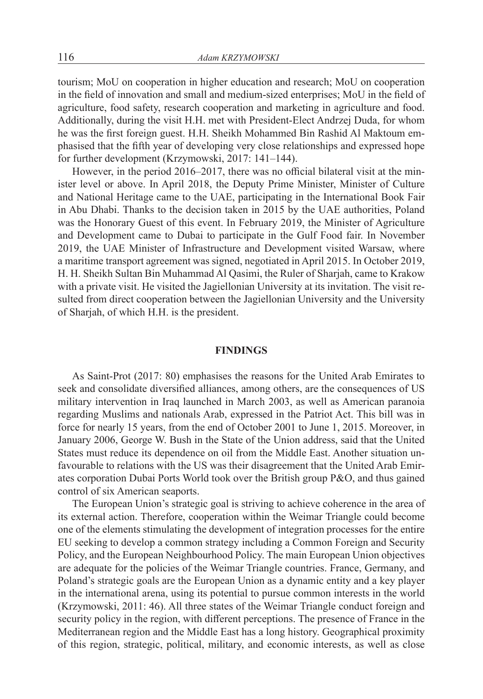tourism; MoU on cooperation in higher education and research; MoU on cooperation in the field of innovation and small and medium-sized enterprises; MoU in the field of agriculture, food safety, research cooperation and marketing in agriculture and food. Additionally, during the visit H.H. met with President-Elect Andrzej Duda, for whom he was the first foreign guest. H.H. Sheikh Mohammed Bin Rashid Al Maktoum emphasised that the fifth year of developing very close relationships and expressed hope for further development (Krzymowski, 2017: 141–144).

However, in the period 2016–2017, there was no official bilateral visit at the minister level or above. In April 2018, the Deputy Prime Minister, Minister of Culture and National Heritage came to the UAE, participating in the International Book Fair in Abu Dhabi. Thanks to the decision taken in 2015 by the UAE authorities, Poland was the Honorary Guest of this event. In February 2019, the Minister of Agriculture and Development came to Dubai to participate in the Gulf Food fair. In November 2019, the UAE Minister of Infrastructure and Development visited Warsaw, where a maritime transport agreement was signed, negotiated in April 2015. In October 2019, H. H. Sheikh Sultan Bin Muhammad Al Qasimi, the Ruler of Sharjah, came to Krakow with a private visit. He visited the Jagiellonian University at its invitation. The visit resulted from direct cooperation between the Jagiellonian University and the University of Sharjah, of which H.H. is the president.

## **FINDINGS**

As Saint-Prot (2017: 80) emphasises the reasons for the United Arab Emirates to seek and consolidate diversified alliances, among others, are the consequences of US military intervention in Iraq launched in March 2003, as well as American paranoia regarding Muslims and nationals Arab, expressed in the Patriot Act. This bill was in force for nearly 15 years, from the end of October 2001 to June 1, 2015. Moreover, in January 2006, George W. Bush in the State of the Union address, said that the United States must reduce its dependence on oil from the Middle East. Another situation unfavourable to relations with the US was their disagreement that the United Arab Emirates corporation Dubai Ports World took over the British group P&O, and thus gained control of six American seaports.

The European Union's strategic goal is striving to achieve coherence in the area of its external action. Therefore, cooperation within the Weimar Triangle could become one of the elements stimulating the development of integration processes for the entire EU seeking to develop a common strategy including a Common Foreign and Security Policy, and the European Neighbourhood Policy. The main European Union objectives are adequate for the policies of the Weimar Triangle countries. France, Germany, and Poland's strategic goals are the European Union as a dynamic entity and a key player in the international arena, using its potential to pursue common interests in the world (Krzymowski, 2011: 46). All three states of the Weimar Triangle conduct foreign and security policy in the region, with different perceptions. The presence of France in the Mediterranean region and the Middle East has a long history. Geographical proximity of this region, strategic, political, military, and economic interests, as well as close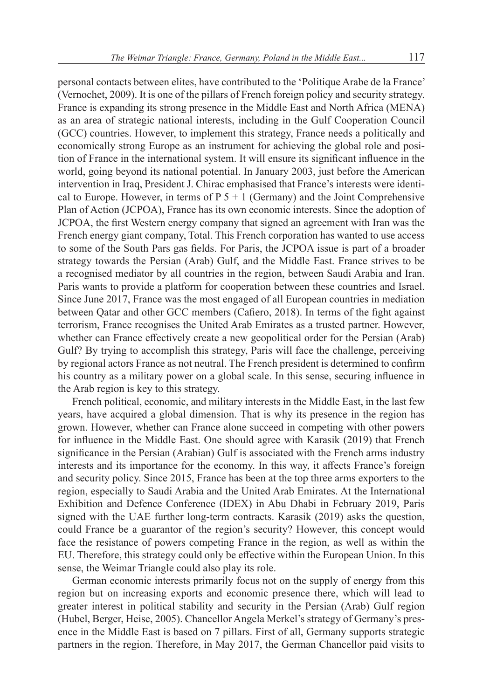personal contacts between elites, have contributed to the 'Politique Arabe de la France' (Vernochet, 2009). It is one of the pillars of French foreign policy and security strategy. France is expanding its strong presence in the Middle East and North Africa (MENA) as an area of strategic national interests, including in the Gulf Cooperation Council (GCC) countries. However, to implement this strategy, France needs a politically and economically strong Europe as an instrument for achieving the global role and position of France in the international system. It will ensure its significant influence in the world, going beyond its national potential. In January 2003, just before the American intervention in Iraq, President J. Chirac emphasised that France's interests were identical to Europe. However, in terms of  $P_5 + 1$  (Germany) and the Joint Comprehensive Plan of Action (JCPOA), France has its own economic interests. Since the adoption of JCPOA, the first Western energy company that signed an agreement with Iran was the French energy giant company, Total. This French corporation has wanted to use access to some of the South Pars gas fields. For Paris, the JCPOA issue is part of a broader strategy towards the Persian (Arab) Gulf, and the Middle East. France strives to be a recognised mediator by all countries in the region, between Saudi Arabia and Iran. Paris wants to provide a platform for cooperation between these countries and Israel. Since June 2017, France was the most engaged of all European countries in mediation between Qatar and other GCC members (Cafiero, 2018). In terms of the fight against terrorism, France recognises the United Arab Emirates as a trusted partner. However, whether can France effectively create a new geopolitical order for the Persian (Arab) Gulf? By trying to accomplish this strategy, Paris will face the challenge, perceiving by regional actors France as not neutral. The French president is determined to confirm his country as a military power on a global scale. In this sense, securing influence in the Arab region is key to this strategy.

French political, economic, and military interests in the Middle East, in the last few years, have acquired a global dimension. That is why its presence in the region has grown. However, whether can France alone succeed in competing with other powers for influence in the Middle East. One should agree with Karasik (2019) that French significance in the Persian (Arabian) Gulf is associated with the French arms industry interests and its importance for the economy. In this way, it affects France's foreign and security policy. Since 2015, France has been at the top three arms exporters to the region, especially to Saudi Arabia and the United Arab Emirates. At the International Exhibition and Defence Conference (IDEX) in Abu Dhabi in February 2019, Paris signed with the UAE further long-term contracts. Karasik (2019) asks the question, could France be a guarantor of the region's security? However, this concept would face the resistance of powers competing France in the region, as well as within the EU. Therefore, this strategy could only be effective within the European Union. In this sense, the Weimar Triangle could also play its role.

German economic interests primarily focus not on the supply of energy from this region but on increasing exports and economic presence there, which will lead to greater interest in political stability and security in the Persian (Arab) Gulf region (Hubel, Berger, Heise, 2005). Chancellor Angela Merkel's strategy of Germany's presence in the Middle East is based on 7 pillars. First of all, Germany supports strategic partners in the region. Therefore, in May 2017, the German Chancellor paid visits to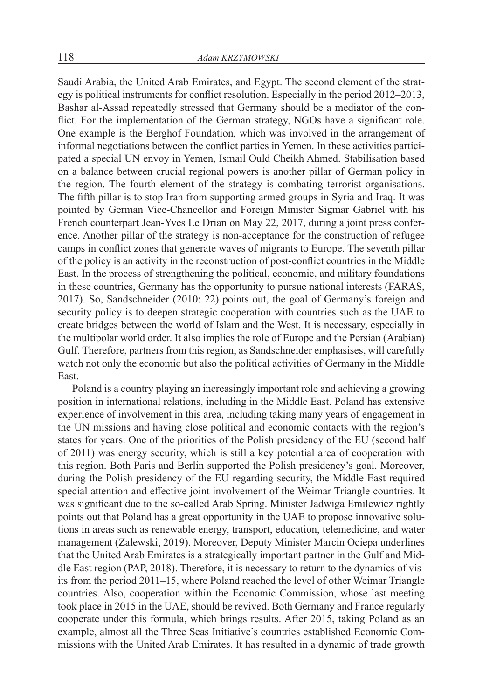Saudi Arabia, the United Arab Emirates, and Egypt. The second element of the strategy is political instruments for conflict resolution. Especially in the period 2012–2013, Bashar al-Assad repeatedly stressed that Germany should be a mediator of the conflict. For the implementation of the German strategy, NGOs have a significant role. One example is the Berghof Foundation, which was involved in the arrangement of informal negotiations between the conflict parties in Yemen. In these activities participated a special UN envoy in Yemen, Ismail Ould Cheikh Ahmed. Stabilisation based on a balance between crucial regional powers is another pillar of German policy in the region. The fourth element of the strategy is combating terrorist organisations. The fifth pillar is to stop Iran from supporting armed groups in Syria and Iraq. It was pointed by German Vice-Chancellor and Foreign Minister Sigmar Gabriel with his French counterpart Jean-Yves Le Drian on May 22, 2017, during a joint press conference. Another pillar of the strategy is non-acceptance for the construction of refugee camps in conflict zones that generate waves of migrants to Europe. The seventh pillar of the policy is an activity in the reconstruction of post-conflict countries in the Middle East. In the process of strengthening the political, economic, and military foundations in these countries, Germany has the opportunity to pursue national interests (FARAS, 2017). So, Sandschneider (2010: 22) points out, the goal of Germany's foreign and security policy is to deepen strategic cooperation with countries such as the UAE to create bridges between the world of Islam and the West. It is necessary, especially in the multipolar world order. It also implies the role of Europe and the Persian (Arabian) Gulf. Therefore, partners from this region, as Sandschneider emphasises, will carefully watch not only the economic but also the political activities of Germany in the Middle East.

Poland is a country playing an increasingly important role and achieving a growing position in international relations, including in the Middle East. Poland has extensive experience of involvement in this area, including taking many years of engagement in the UN missions and having close political and economic contacts with the region's states for years. One of the priorities of the Polish presidency of the EU (second half of 2011) was energy security, which is still a key potential area of cooperation with this region. Both Paris and Berlin supported the Polish presidency's goal. Moreover, during the Polish presidency of the EU regarding security, the Middle East required special attention and effective joint involvement of the Weimar Triangle countries. It was significant due to the so-called Arab Spring. Minister Jadwiga Emilewicz rightly points out that Poland has a great opportunity in the UAE to propose innovative solutions in areas such as renewable energy, transport, education, telemedicine, and water management (Zalewski, 2019). Moreover, Deputy Minister Marcin Ociepa underlines that the United Arab Emirates is a strategically important partner in the Gulf and Middle East region (PAP, 2018). Therefore, it is necessary to return to the dynamics of visits from the period 2011–15, where Poland reached the level of other Weimar Triangle countries. Also, cooperation within the Economic Commission, whose last meeting took place in 2015 in the UAE, should be revived. Both Germany and France regularly cooperate under this formula, which brings results. After 2015, taking Poland as an example, almost all the Three Seas Initiative's countries established Economic Commissions with the United Arab Emirates. It has resulted in a dynamic of trade growth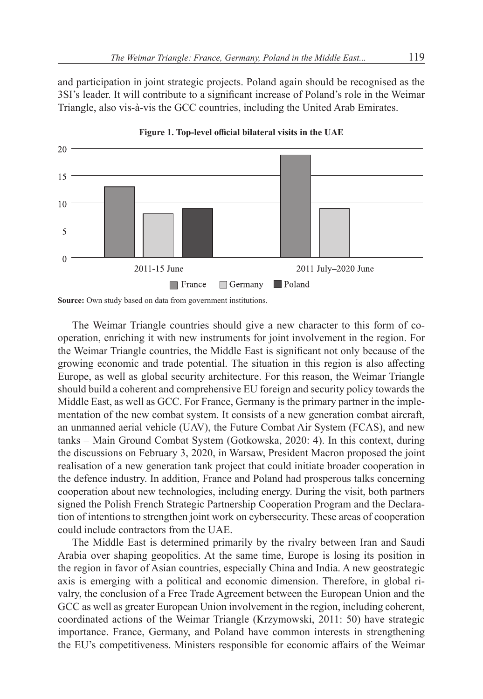and participation in joint strategic projects. Poland again should be recognised as the 3SI's leader. It will contribute to a significant increase of Poland's role in the Weimar Triangle, also vis-à-vis the GCC countries, including the United Arab Emirates.





The Weimar Triangle countries should give a new character to this form of cooperation, enriching it with new instruments for joint involvement in the region. For the Weimar Triangle countries, the Middle East is significant not only because of the growing economic and trade potential. The situation in this region is also affecting Europe, as well as global security architecture. For this reason, the Weimar Triangle should build a coherent and comprehensive EU foreign and security policy towards the Middle East, as well as GCC. For France, Germany is the primary partner in the implementation of the new combat system. It consists of a new generation combat aircraft, an unmanned aerial vehicle (UAV), the Future Combat Air System (FCAS), and new tanks – Main Ground Combat System (Gotkowska, 2020: 4). In this context, during the discussions on February 3, 2020, in Warsaw, President Macron proposed the joint realisation of a new generation tank project that could initiate broader cooperation in the defence industry. In addition, France and Poland had prosperous talks concerning cooperation about new technologies, including energy. During the visit, both partners signed the Polish French Strategic Partnership Cooperation Program and the Declaration of intentions to strengthen joint work on cybersecurity. These areas of cooperation could include contractors from the UAE.

The Middle East is determined primarily by the rivalry between Iran and Saudi Arabia over shaping geopolitics. At the same time, Europe is losing its position in the region in favor of Asian countries, especially China and India. A new geostrategic axis is emerging with a political and economic dimension. Therefore, in global rivalry, the conclusion of a Free Trade Agreement between the European Union and the GCC as well as greater European Union involvement in the region, including coherent, coordinated actions of the Weimar Triangle (Krzymowski, 2011: 50) have strategic importance. France, Germany, and Poland have common interests in strengthening the EU's competitiveness. Ministers responsible for economic affairs of the Weimar

**Source:** Own study based on data from government institutions.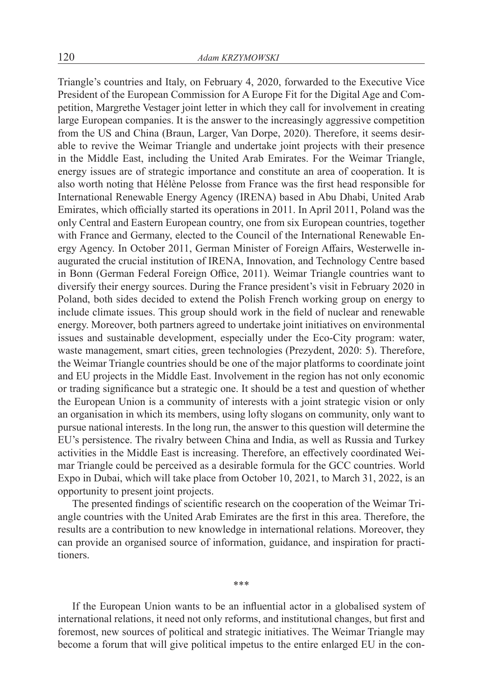Triangle's countries and Italy, on February 4, 2020, forwarded to the Executive Vice President of the European Commission for A Europe Fit for the Digital Age and Competition, Margrethe Vestager joint letter in which they call for involvement in creating large European companies. It is the answer to the increasingly aggressive competition from the US and China (Braun, Larger, Van Dorpe, 2020). Therefore, it seems desirable to revive the Weimar Triangle and undertake joint projects with their presence in the Middle East, including the United Arab Emirates. For the Weimar Triangle, energy issues are of strategic importance and constitute an area of cooperation. It is also worth noting that Hélène Pelosse from France was the first head responsible for International Renewable Energy Agency (IRENA) based in Abu Dhabi, United Arab Emirates, which officially started its operations in 2011. In April 2011, Poland was the only Central and Eastern European country, one from six European countries, together with France and Germany, elected to the Council of the International Renewable Energy Agency. In October 2011, German Minister of Foreign Affairs, Westerwelle inaugurated the crucial institution of IRENA, Innovation, and Technology Centre based in Bonn (German Federal Foreign Office, 2011). Weimar Triangle countries want to diversify their energy sources. During the France president's visit in February 2020 in Poland, both sides decided to extend the Polish French working group on energy to include climate issues. This group should work in the field of nuclear and renewable energy. Moreover, both partners agreed to undertake joint initiatives on environmental issues and sustainable development, especially under the Eco-City program: water, waste management, smart cities, green technologies (Prezydent, 2020: 5). Therefore, the Weimar Triangle countries should be one of the major platforms to coordinate joint and EU projects in the Middle East. Involvement in the region has not only economic or trading significance but a strategic one. It should be a test and question of whether the European Union is a community of interests with a joint strategic vision or only an organisation in which its members, using lofty slogans on community, only want to pursue national interests. In the long run, the answer to this question will determine the EU's persistence. The rivalry between China and India, as well as Russia and Turkey activities in the Middle East is increasing. Therefore, an effectively coordinated Weimar Triangle could be perceived as a desirable formula for the GCC countries. World Expo in Dubai, which will take place from October 10, 2021, to March 31, 2022, is an opportunity to present joint projects.

The presented findings of scientific research on the cooperation of the Weimar Triangle countries with the United Arab Emirates are the first in this area. Therefore, the results are a contribution to new knowledge in international relations. Moreover, they can provide an organised source of information, guidance, and inspiration for practitioners.

If the European Union wants to be an influential actor in a globalised system of international relations, it need not only reforms, and institutional changes, but first and foremost, new sources of political and strategic initiatives. The Weimar Triangle may become a forum that will give political impetus to the entire enlarged EU in the con-

\*\*\*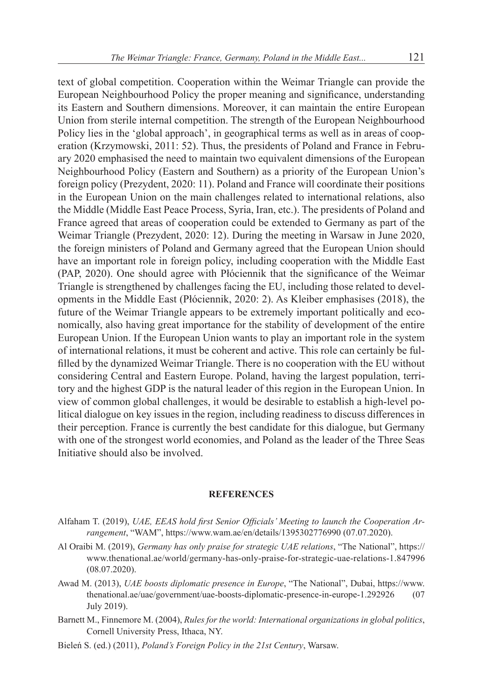text of global competition. Cooperation within the Weimar Triangle can provide the European Neighbourhood Policy the proper meaning and significance, understanding its Eastern and Southern dimensions. Moreover, it can maintain the entire European Union from sterile internal competition. The strength of the European Neighbourhood Policy lies in the 'global approach', in geographical terms as well as in areas of cooperation (Krzymowski, 2011: 52). Thus, the presidents of Poland and France in February 2020 emphasised the need to maintain two equivalent dimensions of the European Neighbourhood Policy (Eastern and Southern) as a priority of the European Union's foreign policy (Prezydent, 2020: 11). Poland and France will coordinate their positions in the European Union on the main challenges related to international relations, also the Middle (Middle East Peace Process, Syria, Iran, etc.). The presidents of Poland and France agreed that areas of cooperation could be extended to Germany as part of the Weimar Triangle (Prezydent, 2020: 12). During the meeting in Warsaw in June 2020, the foreign ministers of Poland and Germany agreed that the European Union should have an important role in foreign policy, including cooperation with the Middle East (PAP, 2020). One should agree with Płóciennik that the significance of the Weimar Triangle is strengthened by challenges facing the EU, including those related to developments in the Middle East (Płóciennik, 2020: 2). As Kleiber emphasises (2018), the future of the Weimar Triangle appears to be extremely important politically and economically, also having great importance for the stability of development of the entire European Union. If the European Union wants to play an important role in the system of international relations, it must be coherent and active. This role can certainly be fulfilled by the dynamized Weimar Triangle. There is no cooperation with the EU without considering Central and Eastern Europe. Poland, having the largest population, territory and the highest GDP is the natural leader of this region in the European Union. In view of common global challenges, it would be desirable to establish a high-level political dialogue on key issues in the region, including readiness to discuss differences in their perception. France is currently the best candidate for this dialogue, but Germany with one of the strongest world economies, and Poland as the leader of the Three Seas Initiative should also be involved.

#### **REFERENCES**

- Alfaham T. (2019), *UAE, EEAS hold first Senior Officials' Meeting to launch the Cooperation Arrangement*, "WAM", https://www.wam.ae/en/details/1395302776990 (07.07.2020).
- Al Oraibi M. (2019), *Germany has only praise for strategic UAE relations*, "The National", https:// www.thenational.ae/world/germany-has-only-praise-for-strategic-uae-relations-1.847996 (08.07.2020).
- Awad M. (2013), *UAE boosts diplomatic presence in Europe*, "The National", Dubai, https://www. thenational.ae/uae/government/uae-boosts-diplomatic-presence-in-europe-1.292926 (07 July 2019).
- Barnett M., Finnemore M. (2004), *Rules for the world: International organizations in global politics*, Cornell University Press, Ithaca, NY.
- Bieleń S. (ed.) (2011), *Poland's Foreign Policy in the 21st Century*, Warsaw.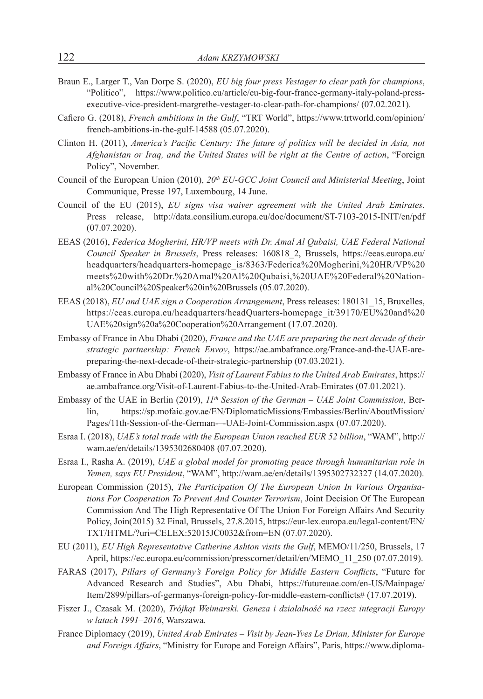- Braun E., Larger T., Van Dorpe S. (2020), *EU big four press Vestager to clear path for champions*, "Politico", https://www.politico.eu/article/eu-big-four-france-germany-italy-poland-pressexecutive-vice-president-margrethe-vestager-to-clear-path-for-champions/ (07.02.2021).
- Cafiero G. (2018), *French ambitions in the Gulf*, "TRT World", https://www.trtworld.com/opinion/ french-ambitions-in-the-gulf-14588 (05.07.2020).
- Clinton H. (2011), *America's Pacific Century: The future of politics will be decided in Asia, not Afghanistan or Iraq, and the United States will be right at the Centre of action*, "Foreign Policy", November.
- Council of the European Union (2010), 20<sup>th</sup> EU-GCC Joint Council and Ministerial Meeting, Joint Communique, Presse 197, Luxembourg, 14 June.
- Council of the EU (2015), *EU signs visa waiver agreement with the United Arab Emirates*. Press release, http://data.consilium.europa.eu/doc/document/ST-7103-2015-INIT/en/pdf (07.07.2020).
- EEAS (2016), *Federica Mogherini, HR/VP meets with Dr. Amal Al Qubaisi, UAE Federal National Council Speaker in Brussels*, Press releases: 160818\_2, Brussels, https://eeas.europa.eu/ headquarters/headquarters-homepage\_is/8363/Federica%20Mogherini,%20HR/VP%20 meets%20with%20Dr.%20Amal%20Al%20Qubaisi,%20UAE%20Federal%20National%20Council%20Speaker%20in%20Brussels (05.07.2020).
- EEAS (2018), *EU and UAE sign a Cooperation Arrangement*, Press releases: 180131\_15, Bruxelles, https://eeas.europa.eu/headquarters/headQuarters-homepage\_it/39170/EU%20and%20 UAE%20sign%20a%20Cooperation%20Arrangement (17.07.2020).
- Embassy of France in Abu Dhabi (2020), *France and the UAE are preparing the next decade of their strategic partnership: French Envoy*, https://ae.ambafrance.org/France-and-the-UAE-arepreparing-the-next-decade-of-their-strategic-partnership (07.03.2021).
- Embassy of France in Abu Dhabi (2020), *Visit of Laurent Fabius to the United Arab Emirates*, https:// ae.ambafrance.org/Visit-of-Laurent-Fabius-to-the-United-Arab-Emirates (07.01.2021).
- Embassy of the UAE in Berlin (2019),  $11^{th}$  Session of the German UAE Joint Commission, Berlin, https://sp.mofaic.gov.ae/EN/DiplomaticMissions/Embassies/Berlin/AboutMission/ Pages/11th-Session-of-the-German-–-UAE-Joint-Commission.aspx (07.07.2020).
- Esraa I. (2018), *UAE's total trade with the European Union reached EUR 52 billion*, "WAM", http:// wam.ae/en/details/1395302680408 (07.07.2020).
- Esraa I., Rasha A. (2019), *UAE a global model for promoting peace through humanitarian role in Yemen, says EU President*, "WAM", http://wam.ae/en/details/1395302732327 (14.07.2020).
- European Commission (2015), *The Participation Of The European Union In Various Organisations For Cooperation To Prevent And Counter Terrorism*, Joint Decision Of The European Commission And The High Representative Of The Union For Foreign Affairs And Security Policy, Join(2015) 32 Final, Brussels, 27.8.2015, https://eur-lex.europa.eu/legal-content/EN/ TXT/HTML/?uri=CELEX:52015JC0032&from=EN (07.07.2020).
- EU (2011), *EU High Representative Catherine Ashton visits the Gulf*, MEMO/11/250, Brussels, 17 April, https://ec.europa.eu/commission/presscorner/detail/en/MEMO\_11\_250 (07.07.2019).
- FARAS (2017), *Pillars of Germany's Foreign Policy for Middle Eastern Conflicts*, "Future for Advanced Research and Studies", Abu Dhabi, https://futureuae.com/en-US/Mainpage/ Item/2899/pillars-of-germanys-foreign-policy-for-middle-eastern-conflicts# (17.07.2019).
- Fiszer J., Czasak M. (2020), *Trójkąt Weimarski. Geneza i działalność na rzecz integracji Europy w latach 1991–2016*, Warszawa.
- France Diplomacy (2019), *United Arab Emirates Visit by Jean-Yves Le Drian, Minister for Europe and Foreign Affairs*, "Ministry for Europe and Foreign Affairs", Paris, https://www.diploma-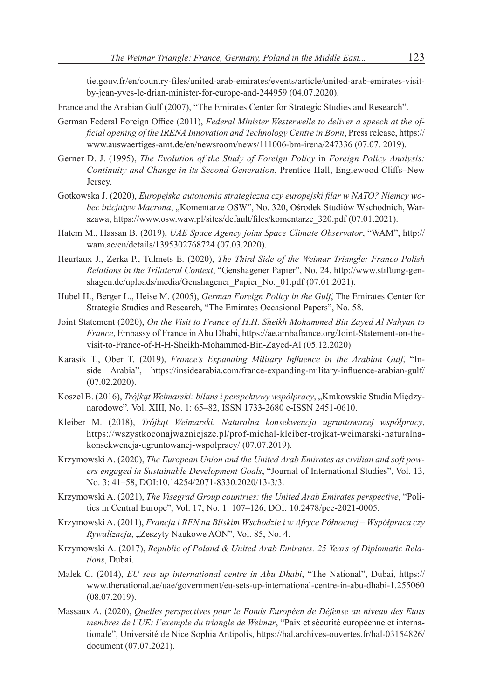tie.gouv.fr/en/country-files/united-arab-emirates/events/article/united-arab-emirates-visitby-jean-yves-le-drian-minister-for-europe-and-244959 (04.07.2020).

- France and the Arabian Gulf (2007), "The Emirates Center for Strategic Studies and Research".
- German Federal Foreign Office (2011), *Federal Minister Westerwelle to deliver a speech at the official opening of the IRENA Innovation and Technology Centre in Bonn*, Press release, https:// www.auswaertiges-amt.de/en/newsroom/news/111006-bm-irena/247336 (07.07. 2019).
- Gerner D. J. (1995), *The Evolution of the Study of Foreign Policy* in *Foreign Policy Analysis: Continuity and Change in its Second Generation*, Prentice Hall, Englewood Cliffs–New Jersey.
- Gotkowska J. (2020), *Europejska autonomia strategiczna czy europejski filar w NATO? Niemcy wobec inicjatyw Macrona*, "Komentarze OSW", No. 320, Ośrodek Studiów Wschodnich, Warszawa, https://www.osw.waw.pl/sites/default/files/komentarze\_320.pdf (07.01.2021).
- Hatem M., Hassan B. (2019), *UAE Space Agency joins Space Climate Observator*, "WAM", http:// wam.ae/en/details/1395302768724 (07.03.2020).
- Heurtaux J., Zerka P., Tulmets E. (2020), *The Third Side of the Weimar Triangle: Franco-Polish Relations in the Trilateral Context*, "Genshagener Papier", No. 24, http://www.stiftung-genshagen.de/uploads/media/Genshagener\_Papier\_No.\_01.pdf (07.01.2021).
- Hubel H., Berger L., Heise M. (2005), *German Foreign Policy in the Gulf*, The Emirates Center for Strategic Studies and Research, "The Emirates Occasional Papers", No. 58.
- Joint Statement (2020), *On the Visit to France of H.H. Sheikh Mohammed Bin Zayed Al Nahyan to France*, Embassy of France in Abu Dhabi, https://ae.ambafrance.org/Joint-Statement-on-thevisit-to-France-of-H-H-Sheikh-Mohammed-Bin-Zayed-Al (05.12.2020).
- Karasik T., Ober T. (2019), *France's Expanding Military Influence in the Arabian Gulf*, "Inside Arabia", https://insidearabia.com/france-expanding-military-influence-arabian-gulf/ (07.02.2020).
- Koszel B. (2016), Trójkąt Weimarski: bilans i perspektywy współpracy, "Krakowskie Studia Międzynarodowe"*,* Vol. XIII, No. 1: 65–82, ISSN 1733-2680 e-ISSN 2451-0610.
- Kleiber M. (2018), *Trójkąt Weimarski. Naturalna konsekwencja ugruntowanej współpracy*, https://wszystkoconajwazniejsze.pl/prof-michal-kleiber-trojkat-weimarski-naturalnakonsekwencja-ugruntowanej-wspolpracy/ (07.07.2019).
- Krzymowski A. (2020), *The European Union and the United Arab Emirates as civilian and soft powers engaged in Sustainable Development Goals*, "Journal of International Studies", Vol. 13, No. 3: 41–58, DOI:10.14254/2071-8330.2020/13-3/3.
- Krzymowski A. (2021), *The Visegrad Group countries: the United Arab Emirates perspective*, "Politics in Central Europe", Vol. 17, No. 1: 107–126, DOI: 10.2478/pce-2021-0005.
- Krzymowski A. (2011), *Francja i RFN na Bliskim Wschodzie i w Afryce Północnej Współpraca czy Rywalizacja*, "Zeszyty Naukowe AON", Vol. 85, No. 4.
- Krzymowski A. (2017), *Republic of Poland & United Arab Emirates. 25 Years of Diplomatic Relations*, Dubai.
- Malek C. (2014), *EU sets up international centre in Abu Dhabi*, "The National", Dubai, https:// www.thenational.ae/uae/government/eu-sets-up-international-centre-in-abu-dhabi-1.255060 (08.07.2019).
- Massaux A. (2020), *Quelles perspectives pour le Fonds Européen de Défense au niveau des Etats membres de l'UE: l'exemple du triangle de Weimar*, "Paix et sécurité européenne et internationale", Université de Nice Sophia Antipolis, https://hal.archives-ouvertes.fr/hal-03154826/ document (07.07.2021).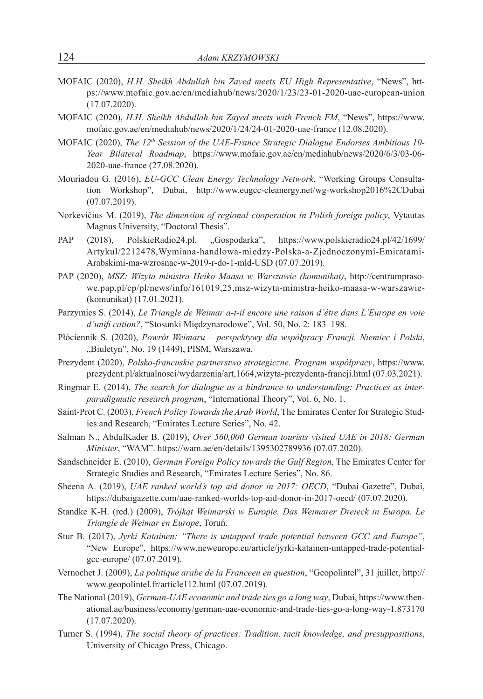- MOFAIC (2020), *H.H. Sheikh Abdullah bin Zayed meets EU High Representative*, "News", https://www.mofaic.gov.ae/en/mediahub/news/2020/1/23/23-01-2020-uae-european-union (17.07.2020).
- MOFAIC (2020), *H.H. Sheikh Abdullah bin Zayed meets with French FM*, "News", https://www. mofaic.gov.ae/en/mediahub/news/2020/1/24/24-01-2020-uae-france (12.08.2020).
- MOFAIC (2020), *The 12th Session of the UAE-France Strategic Dialogue Endorses Ambitious 10- Year Bilateral Roadmap*, https://www.mofaic.gov.ae/en/mediahub/news/2020/6/3/03-06- 2020-uae-france (27.08.2020).
- Mouriadou G. (2016), *EU-GCC Clean Energy Technology Network*, "Working Groups Consultation Workshop", Dubai, http://www.eugcc-cleanergy.net/wg-workshop2016%2CDubai (07.07.2019).
- Norkevičius M. (2019), *The dimension of regional cooperation in Polish foreign policy*, Vytautas Magnus University, "Doctoral Thesis".
- PAP (2018), PolskieRadio24.pl, "Gospodarka", https://www.polskieradio24.pl/42/1699/ Artykul/2212478,Wymiana-handlowa-miedzy-Polska-a-Zjednoczonymi-Emiratami-Arabskimi-ma-wzrosnac-w-2019-r-do-1-mld-USD (07.07.2019).
- PAP (2020), *MSZ: Wizyta ministra Heiko Maasa w Warszawie (komunikat)*, http://centrumprasowe.pap.pl/cp/pl/news/info/161019,25,msz-wizyta-ministra-heiko-maasa-w-warszawie- (komunikat) (17.01.2021).
- Parzymies S. (2014), *Le Triangle de Weimar a-t-il encore une raison d'être dans L'Europe en voie d'unifi cation?*, "Stosunki Międzynarodowe", Vol. 50, No. 2: 183–198.
- Płóciennik S. (2020), *Powrót Weimaru perspektywy dla współpracy Francji, Niemiec i Polski*, "Biuletyn", No. 19 (1449), PISM, Warszawa.
- Prezydent (2020), *Polsko-francuskie partnerstwo strategiczne. Program współpracy*, https://www. prezydent.pl/aktualnosci/wydarzenia/art,1664,wizyta-prezydenta-francji.html (07.03.2021).
- Ringmar E. (2014), *The search for dialogue as a hindrance to understanding: Practices as interparadigmatic research program*, "International Theory", Vol. 6, No. 1.
- Saint-Prot C. (2003), *French Policy Towards the Arab World*, The Emirates Center for Strategic Studies and Research, "Emirates Lecture Series", No. 42.
- Salman N., AbdulKader B. (2019), *Over 560,000 German tourists visited UAE in 2018: German Minister*, "WAM". https://wam.ae/en/details/1395302789936 (07.07.2020).
- Sandschneider E. (2010), *German Foreign Policy towards the Gulf Region*, The Emirates Center for Strategic Studies and Research, "Emirates Lecture Series", No. 86.
- Sheena A. (2019), *UAE ranked world's top aid donor in 2017: OECD*, "Dubai Gazette", Dubai, https://dubaigazette.com/uae-ranked-worlds-top-aid-donor-in-2017-oecd/ (07.07.2020).
- Standke K-H. (red.) (2009), *Trójkąt Weimarski w Europie. Das Weimarer Dreieck in Europa. Le Triangle de Weimar en Europe*, Toruń.
- Stur B. (2017), *Jyrki Katainen: "There is untapped trade potential between GCC and Europe"*, "New Europe", https://www.neweurope.eu/article/jyrki-katainen-untapped-trade-potentialgcc-europe/ (07.07.2019).
- Vernochet J. (2009), *La politique arabe de la Franceen en question*, "Geopolintel", 31 juillet, http:// www.geopolintel.fr/article112.html (07.07.2019).
- The National (2019), *German-UAE economic and trade ties go a long way*, Dubai, https://www.thenational.ae/business/economy/german-uae-economic-and-trade-ties-go-a-long-way-1.873170 (17.07.2020).
- Turner S. (1994), *The social theory of practices: Tradition, tacit knowledge, and presuppositions*, University of Chicago Press, Chicago.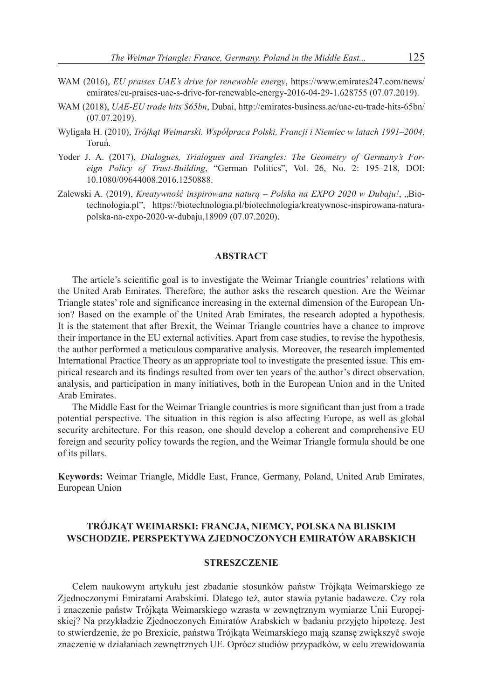- WAM (2016), *EU praises UAE's drive for renewable energy*, https://www.emirates247.com/news/ emirates/eu-praises-uae-s-drive-for-renewable-energy-2016-04-29-1.628755 (07.07.2019).
- WAM (2018), *UAE-EU trade hits \$65bn*, Dubai, http://emirates-business.ae/uae-eu-trade-hits-65bn/ (07.07.2019).
- Wyligała H. (2010), *Trójkąt Weimarski. Współpraca Polski, Francji i Niemiec w latach 1991–2004*, Toruń.
- Yoder J. A. (2017), *Dialogues, Trialogues and Triangles: The Geometry of Germany's Foreign Policy of Trust-Building*, "German Politics", Vol. 26, No. 2: 195–218, DOI: 10.1080/09644008.2016.1250888.
- Zalewski A. (2019), *Kreatywność inspirowana naturą Polska na EXPO 2020 w Dubaju!*, "Biotechnologia.pl", https://biotechnologia.pl/biotechnologia/kreatywnosc-inspirowana-naturapolska-na-expo-2020-w-dubaju,18909 (07.07.2020).

#### **ABSTRACT**

The article's scientific goal is to investigate the Weimar Triangle countries' relations with the United Arab Emirates. Therefore, the author asks the research question. Are the Weimar Triangle states' role and significance increasing in the external dimension of the European Union? Based on the example of the United Arab Emirates, the research adopted a hypothesis. It is the statement that after Brexit, the Weimar Triangle countries have a chance to improve their importance in the EU external activities. Apart from case studies, to revise the hypothesis, the author performed a meticulous comparative analysis. Moreover, the research implemented International Practice Theory as an appropriate tool to investigate the presented issue. This empirical research and its findings resulted from over ten years of the author's direct observation, analysis, and participation in many initiatives, both in the European Union and in the United Arab Emirates.

The Middle East for the Weimar Triangle countries is more significant than just from a trade potential perspective. The situation in this region is also affecting Europe, as well as global security architecture. For this reason, one should develop a coherent and comprehensive EU foreign and security policy towards the region, and the Weimar Triangle formula should be one of its pillars.

**Keywords:** Weimar Triangle, Middle East, France, Germany, Poland, United Arab Emirates, European Union

# **TRÓJKĄT WEIMARSKI: FRANCJA, NIEMCY, POLSKA NA BLISKIM WSCHODZIE. PERSPEKTYWA ZJEDNOCZONYCH EMIRATÓW ARABSKICH**

#### **STRESZCZENIE**

Celem naukowym artykułu jest zbadanie stosunków państw Trójkąta Weimarskiego ze Zjednoczonymi Emiratami Arabskimi. Dlatego też, autor stawia pytanie badawcze. Czy rola i znaczenie państw Trójkąta Weimarskiego wzrasta w zewnętrznym wymiarze Unii Europejskiej? Na przykładzie Zjednoczonych Emiratów Arabskich w badaniu przyjęto hipotezę. Jest to stwierdzenie, że po Brexicie, państwa Trójkąta Weimarskiego mają szansę zwiększyć swoje znaczenie w działaniach zewnętrznych UE. Oprócz studiów przypadków, w celu zrewidowania